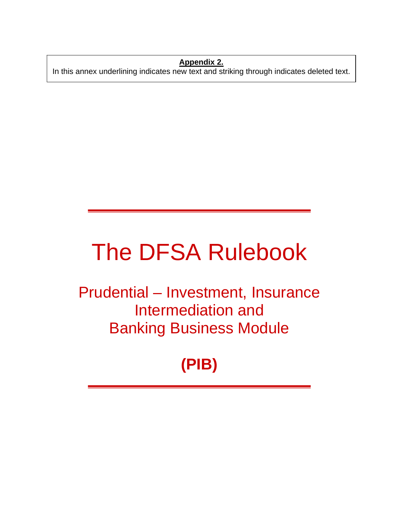**Appendix 2.** In this annex underlining indicates new text and striking through indicates deleted text.

# The DFSA Rulebook

Prudential – Investment, Insurance Intermediation and Banking Business Module

## **(PIB)**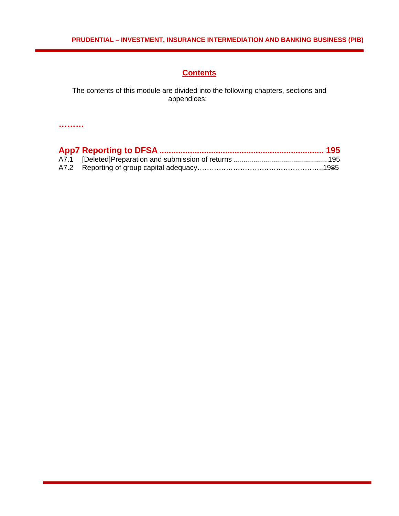## **Contents**

The contents of this module are divided into the following chapters, sections and appendices: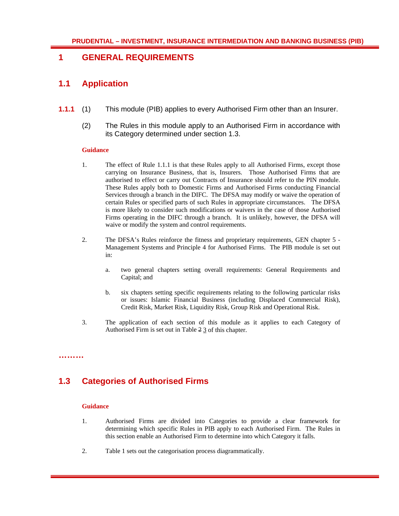## **1 GENERAL REQUIREMENTS**

## **1.1 Application**

- **1.1.1** (1) This module (PIB) applies to every Authorised Firm other than an Insurer.
	- (2) The Rules in this module apply to an Authorised Firm in accordance with its Category determined under section 1.3.

#### **Guidance**

- 1. The effect of Rule 1.1.1 is that these Rules apply to all Authorised Firms, except those carrying on Insurance Business, that is, Insurers. Those Authorised Firms that are authorised to effect or carry out Contracts of Insurance should refer to the PIN module. These Rules apply both to Domestic Firms and Authorised Firms conducting Financial Services through a branch in the DIFC. The DFSA may modify or waive the operation of certain Rules or specified parts of such Rules in appropriate circumstances. The DFSA is more likely to consider such modifications or waivers in the case of those Authorised Firms operating in the DIFC through a branch. It is unlikely, however, the DFSA will waive or modify the system and control requirements.
- 2. The DFSA's Rules reinforce the fitness and proprietary requirements, GEN chapter 5 Management Systems and Principle 4 for Authorised Firms. The PIB module is set out in:
	- a. two general chapters setting overall requirements: General Requirements and Capital; and
	- b. six chapters setting specific requirements relating to the following particular risks or issues: Islamic Financial Business (including Displaced Commercial Risk), Credit Risk, Market Risk, Liquidity Risk, Group Risk and Operational Risk.
- 3. The application of each section of this module as it applies to each Category of Authorised Firm is set out in Table 2 3 of this chapter.

**1.3 Categories of Authorised Firms** 

#### **Guidance**

- 1. Authorised Firms are divided into Categories to provide a clear framework for determining which specific Rules in PIB apply to each Authorised Firm. The Rules in this section enable an Authorised Firm to determine into which Category it falls.
- 2. Table 1 sets out the categorisation process diagrammatically.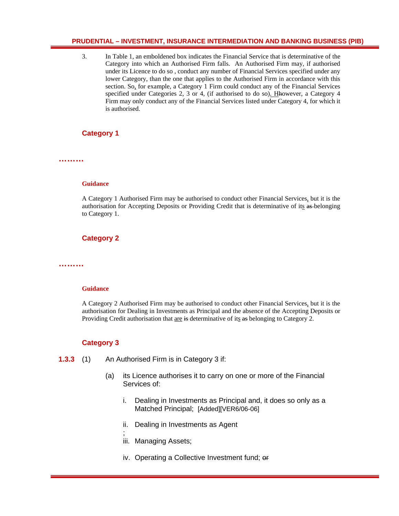3. In Table 1, an emboldened box indicates the Financial Service that is determinative of the Category into which an Authorised Firm falls. An Authorised Firm may, if authorised under its Licence to do so , conduct any number of Financial Services specified under any lower Category, than the one that applies to the Authorised Firm in accordance with this section. So, for example, a Category 1 Firm could conduct any of the Financial Services specified under Categories 2, 3 or 4, (if authorised to do so). Hhowever, a Category 4 Firm may only conduct any of the Financial Services listed under Category 4, for which it is authorised.

## **Category 1**

**………** 

#### **Guidance**

A Category 1 Authorised Firm may be authorised to conduct other Financial Services, but it is the authorisation for Accepting Deposits or Providing Credit that is determinative of its as belonging to Category 1.

## **Category 2**

**………** 

#### **Guidance**

A Category 2 Authorised Firm may be authorised to conduct other Financial Services, but it is the authorisation for Dealing in Investments as Principal and the absence of the Accepting Deposits or Providing Credit authorisation that are is determinative of its as belonging to Category 2.

## **Category 3**

**1.3.3** (1) An Authorised Firm is in Category 3 if:

;

- (a) its Licence authorises it to carry on one or more of the Financial Services of:
	- i. Dealing in Investments as Principal and, it does so only as a Matched Principal; [Added][VER6/06-06]
	- ii. Dealing in Investments as Agent
	- iii. Managing Assets;
	- iv. Operating a Collective Investment fund; or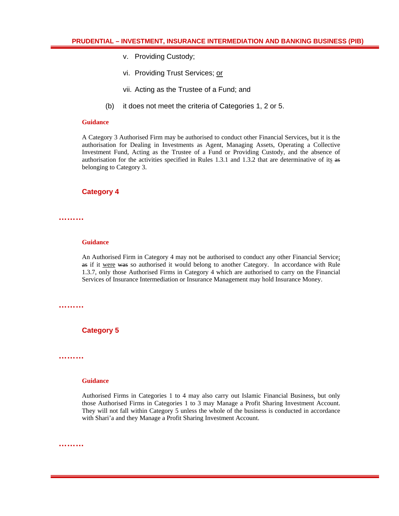- v. Providing Custody;
- vi. Providing Trust Services; or
- vii. Acting as the Trustee of a Fund; and
- (b) it does not meet the criteria of Categories 1, 2 or 5.

#### **Guidance**

A Category 3 Authorised Firm may be authorised to conduct other Financial Services, but it is the authorisation for Dealing in Investments as Agent, Managing Assets, Operating a Collective Investment Fund, Acting as the Trustee of a Fund or Providing Custody, and the absence of authorisation for the activities specified in Rules 1.3.1 and 1.3.2 that are determinative of its  $\mathbf{a}s$ belonging to Category 3.

#### **Category 4**

**………** 

#### **Guidance**

An Authorised Firm in Category 4 may not be authorised to conduct any other Financial Service; as if it were was so authorised it would belong to another Category. In accordance with Rule 1.3.7, only those Authorised Firms in Category 4 which are authorised to carry on the Financial Services of Insurance Intermediation or Insurance Management may hold Insurance Money.

**………** 

**Category 5** 

**………** 

#### **Guidance**

Authorised Firms in Categories 1 to 4 may also carry out Islamic Financial Business, but only those Authorised Firms in Categories 1 to 3 may Manage a Profit Sharing Investment Account. They will not fall within Category 5 unless the whole of the business is conducted in accordance with Shari'a and they Manage a Profit Sharing Investment Account.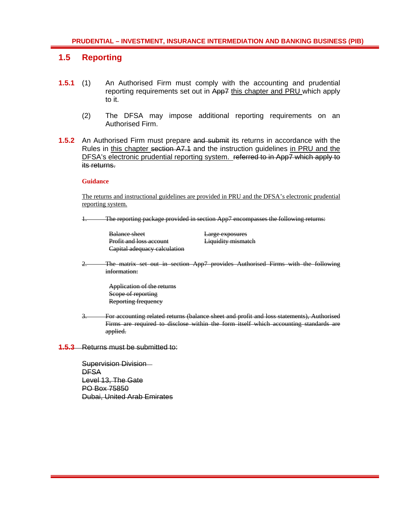## **1.5 Reporting**

- **1.5.1** (1) An Authorised Firm must comply with the accounting and prudential reporting requirements set out in App7 this chapter and PRU which apply to it.
	- (2) The DFSA may impose additional reporting requirements on an Authorised Firm.
- **1.5.2** An Authorised Firm must prepare and submit its returns in accordance with the Rules in this chapter section A7.1 and the instruction guidelines in PRU and the DFSA's electronic prudential reporting system. referred to in App7 which apply to its returns.

#### **Guidance**

The returns and instructional guidelines are provided in PRU and the DFSA's electronic prudential reporting system.

The reporting package provided in section App7 encompasses the following returns:

| <b>Balance sheet</b>           | Large exposures           |
|--------------------------------|---------------------------|
| <b>Profit and loss account</b> | <b>Liquidity mismatch</b> |
| Capital adequacy calculation   |                           |

2. The matrix set out in section App7 provides Authorised Firms with the following information:

> Application of the returns Scope of reporting Reporting frequency

3. For accounting related returns (balance sheet and profit and loss statements), Authorised Firms are required to disclose within the form itself which accounting standards are applied.

**1.5.3** Returns must be submitted to:

Supervision Division **DFSA** Level 13, The Gate PO Box 75850 Dubai, United Arab Emirates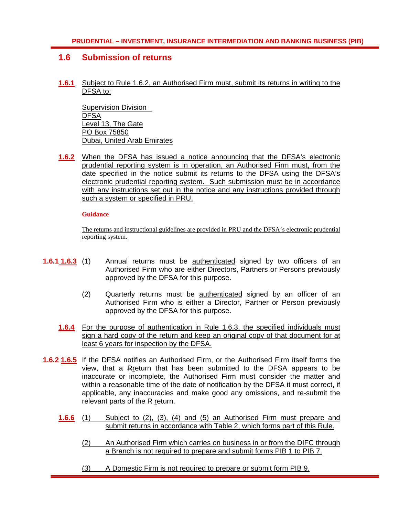## **1.6 Submission of returns**

**1.6.1** Subject to Rule 1.6.2, an Authorised Firm must, submit its returns in writing to the DFSA to:

Supervision Division **DFSA** Level 13, The Gate PO Box 75850 Dubai, United Arab Emirates

**1.6.2** When the DFSA has issued a notice announcing that the DFSA's electronic prudential reporting system is in operation, an Authorised Firm must, from the date specified in the notice submit its returns to the DFSA using the DFSA's electronic prudential reporting system. Such submission must be in accordance with any instructions set out in the notice and any instructions provided through such a system or specified in PRU.

#### **Guidance**

The returns and instructional guidelines are provided in PRU and the DFSA's electronic prudential reporting system.

- **1.6.1 1.6.3** (1) Annual returns must be authenticated signed by two officers of an Authorised Firm who are either Directors, Partners or Persons previously approved by the DFSA for this purpose.
	- (2) Quarterly returns must be authenticated signed by an officer of an Authorised Firm who is either a Director, Partner or Person previously approved by the DFSA for this purpose.
	- **1.6.4** For the purpose of authentication in Rule 1.6.3, the specified individuals must sign a hard copy of the return and keep an original copy of that document for at least 6 years for inspection by the DFSA.
- **1.6.2 1.6.5** If the DFSA notifies an Authorised Firm, or the Authorised Firm itself forms the view, that a Rreturn that has been submitted to the DFSA appears to be inaccurate or incomplete, the Authorised Firm must consider the matter and within a reasonable time of the date of notification by the DFSA it must correct, if applicable, any inaccuracies and make good any omissions, and re-submit the relevant parts of the  $R$ -return.
	- **1.6.6** (1) Subject to (2), (3), (4) and (5) an Authorised Firm must prepare and submit returns in accordance with Table 2, which forms part of this Rule.
		- (2) An Authorised Firm which carries on business in or from the DIFC through a Branch is not required to prepare and submit forms PIB 1 to PIB 7.
		- (3) A Domestic Firm is not required to prepare or submit form PIB 9.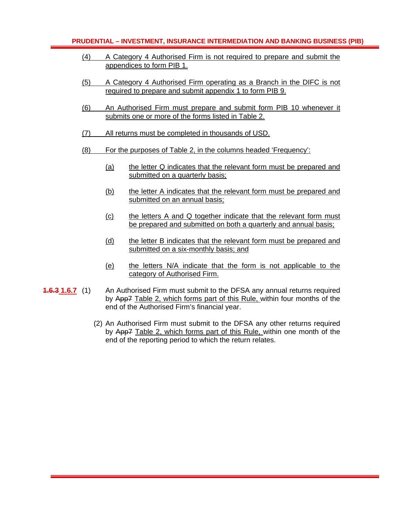- (4) A Category 4 Authorised Firm is not required to prepare and submit the appendices to form PIB 1.
- (5) A Category 4 Authorised Firm operating as a Branch in the DIFC is not required to prepare and submit appendix 1 to form PIB 9.
- (6) An Authorised Firm must prepare and submit form PIB 10 whenever it submits one or more of the forms listed in Table 2.
- (7) All returns must be completed in thousands of USD.
- (8) For the purposes of Table 2, in the columns headed 'Frequency':
	- (a) the letter Q indicates that the relevant form must be prepared and submitted on a quarterly basis;
	- (b) the letter A indicates that the relevant form must be prepared and submitted on an annual basis;
	- (c) the letters A and Q together indicate that the relevant form must be prepared and submitted on both a quarterly and annual basis;
	- (d) the letter B indicates that the relevant form must be prepared and submitted on a six-monthly basis; and
	- (e) the letters N/A indicate that the form is not applicable to the category of Authorised Firm.
- **1.6.3 1.6.7** (1) An Authorised Firm must submit to the DFSA any annual returns required by App7 Table 2, which forms part of this Rule, within four months of the end of the Authorised Firm's financial year.
	- (2) An Authorised Firm must submit to the DFSA any other returns required by App7 Table 2, which forms part of this Rule, within one month of the end of the reporting period to which the return relates.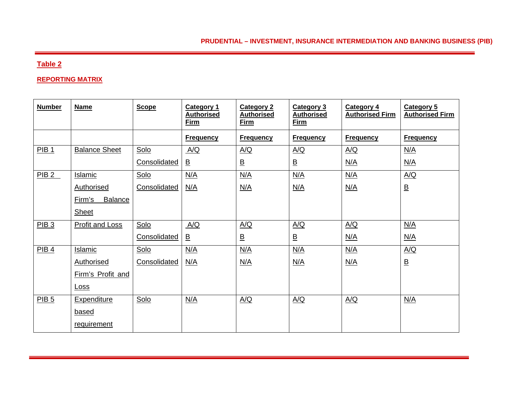## **Table 2**

#### **REPORTING MATRIX**

| <b>Number</b>    | <b>Name</b>              | <b>Scope</b> | <b>Category 1</b><br><b>Authorised</b><br><b>Firm</b> | <b>Category 2</b><br><b>Authorised</b><br><b>Firm</b> | <b>Category 3</b><br><b>Authorised</b><br>Firm | <b>Category 4</b><br><b>Authorised Firm</b> | <b>Category 5</b><br><b>Authorised Firm</b> |
|------------------|--------------------------|--------------|-------------------------------------------------------|-------------------------------------------------------|------------------------------------------------|---------------------------------------------|---------------------------------------------|
|                  |                          |              | <b>Frequency</b>                                      | <b>Frequency</b>                                      | <b>Frequency</b>                               | <b>Frequency</b>                            | <b>Frequency</b>                            |
| PIB <sub>1</sub> | <b>Balance Sheet</b>     | Solo         | A/Q                                                   | A/Q                                                   | $\underline{A/Q}$                              | A/Q                                         | N/A                                         |
|                  |                          | Consolidated | $\overline{\mathsf{B}}$                               | $\underline{\mathsf{B}}$                              | $\underline{\mathsf{B}}$                       | N/A                                         | <u>N/A</u>                                  |
| PIB2             | <b>Islamic</b>           | Solo         | N/A                                                   | N/A                                                   | N/A                                            | N/A                                         | A/Q                                         |
|                  | <b>Authorised</b>        | Consolidated | N/A                                                   | N/A                                                   | N/A                                            | N/A                                         | $\underline{\mathsf{B}}$                    |
|                  | <b>Balance</b><br>Firm's |              |                                                       |                                                       |                                                |                                             |                                             |
|                  | <b>Sheet</b>             |              |                                                       |                                                       |                                                |                                             |                                             |
| PIB <sub>3</sub> | <b>Profit and Loss</b>   | Solo         | A/Q                                                   | A/Q                                                   | A/Q                                            | A/Q                                         | N/A                                         |
|                  |                          | Consolidated | $\overline{\mathsf{B}}$                               | $\underline{\mathsf{B}}$                              | $\overline{\mathsf{B}}$                        | <u>N/A</u>                                  | <u>N/A</u>                                  |
| PIB <sub>4</sub> | <b>Islamic</b>           | Solo         | N/A                                                   | N/A                                                   | N/A                                            | N/A                                         | A/Q                                         |
|                  | <b>Authorised</b>        | Consolidated | N/A                                                   | N/A                                                   | N/A                                            | N/A                                         | $\underline{\mathsf{B}}$                    |
|                  | Firm's Profit and        |              |                                                       |                                                       |                                                |                                             |                                             |
|                  | <u>Loss</u>              |              |                                                       |                                                       |                                                |                                             |                                             |
| PIB <sub>5</sub> | <b>Expenditure</b>       | Solo         | N/A                                                   | A/Q                                                   | A/Q                                            | A/Q                                         | N/A                                         |
|                  | based                    |              |                                                       |                                                       |                                                |                                             |                                             |
|                  | requirement              |              |                                                       |                                                       |                                                |                                             |                                             |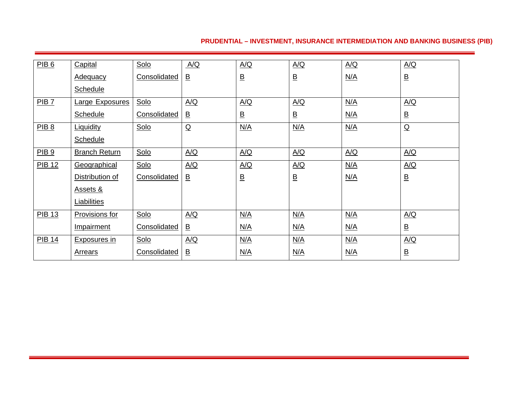| PIB6             | Capital              | Solo         | A/Q                      | A/Q      | $\Delta/Q$               | A/Q | A/Q                      |
|------------------|----------------------|--------------|--------------------------|----------|--------------------------|-----|--------------------------|
|                  | <b>Adequacy</b>      | Consolidated | $\underline{\mathsf{B}}$ | <u>B</u> | $\underline{\mathsf{B}}$ | N/A | $\underline{\mathsf{B}}$ |
|                  | <b>Schedule</b>      |              |                          |          |                          |     |                          |
| PIB 7            | Large Exposures      | Solo         | A/Q                      | A/Q      | A/Q                      | N/A | $\underline{A/Q}$        |
|                  | Schedule             | Consolidated | $\underline{\mathsf{B}}$ | <u>B</u> | $\overline{B}$           | N/A | $\underline{\mathsf{B}}$ |
| PIB 8            | <b>Liquidity</b>     | Solo         | $\overline{Q}$           | N/A      | N/A                      | N/A | $\overline{Q}$           |
|                  | <b>Schedule</b>      |              |                          |          |                          |     |                          |
| PIB <sub>9</sub> | <b>Branch Return</b> | Solo         | A/Q                      | A/Q      | $\underline{A/Q}$        | A/Q | A/Q                      |
| <b>PIB 12</b>    | Geographical         | Solo         | A/Q                      | A/Q      | A/Q                      | N/A | A/Q                      |
|                  | Distribution of      | Consolidated | $\overline{\mathsf{B}}$  | <u>B</u> | $\underline{\mathsf{B}}$ | N/A | $\overline{\mathsf{B}}$  |
|                  | <u>Assets &amp;</u>  |              |                          |          |                          |     |                          |
|                  | <b>Liabilities</b>   |              |                          |          |                          |     |                          |
| <b>PIB 13</b>    | Provisions for       | Solo         | A/Q                      | N/A      | N/A                      | N/A | A/Q                      |
|                  | Impairment           | Consolidated | $\overline{\mathsf{B}}$  | N/A      | N/A                      | N/A | $\overline{\mathsf{B}}$  |
| <b>PIB 14</b>    | <b>Exposures in</b>  | Solo         | A/Q                      | N/A      | N/A                      | N/A | $\underline{A/Q}$        |
|                  | <b>Arrears</b>       | Consolidated | $\underline{\mathsf{B}}$ | N/A      | N/A                      | N/A | $\underline{\mathsf{B}}$ |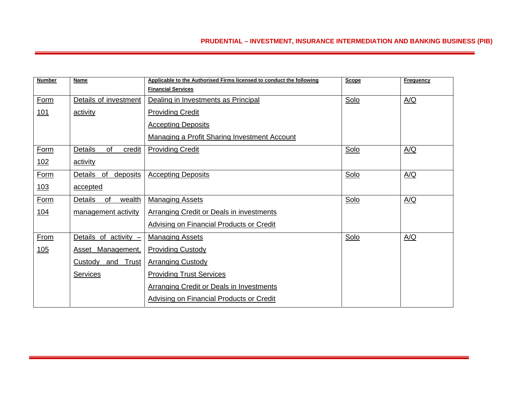| <b>Number</b> | Name                             | Applicable to the Authorised Firms licensed to conduct the following | <b>Scope</b> | <b>Frequency</b> |
|---------------|----------------------------------|----------------------------------------------------------------------|--------------|------------------|
|               |                                  | <b>Financial Services</b>                                            |              |                  |
| <b>Form</b>   | Details of investment            | Dealing in Investments as Principal                                  | Solo         | A/Q              |
| <u>101</u>    | activity                         | <b>Providing Credit</b>                                              |              |                  |
|               |                                  | <b>Accepting Deposits</b>                                            |              |                  |
|               |                                  | <b>Managing a Profit Sharing Investment Account</b>                  |              |                  |
| Form          | Details<br>of<br>credit          | <b>Providing Credit</b>                                              | Solo         | A/Q              |
| <u>102</u>    | activity                         |                                                                      |              |                  |
| <b>Form</b>   | <b>Details</b><br>of<br>deposits | <b>Accepting Deposits</b>                                            | Solo         | A/Q              |
| <u> 103</u>   | accepted                         |                                                                      |              |                  |
| Form          | Details<br>of<br>wealth          | <b>Managing Assets</b>                                               | Solo         | A/Q              |
| <u>104</u>    | management activity              | <b>Arranging Credit or Deals in investments</b>                      |              |                  |
|               |                                  | <b>Advising on Financial Products or Credit</b>                      |              |                  |
| From          | Details of activity -            | <b>Managing Assets</b>                                               | Solo         | A/Q              |
| 105           | Asset Management,                | <b>Providing Custody</b>                                             |              |                  |
|               | Trust<br>Custody<br>and          | <b>Arranging Custody</b>                                             |              |                  |
|               | <b>Services</b>                  | <b>Providing Trust Services</b>                                      |              |                  |
|               |                                  | <b>Arranging Credit or Deals in Investments</b>                      |              |                  |
|               |                                  | <b>Advising on Financial Products or Credit</b>                      |              |                  |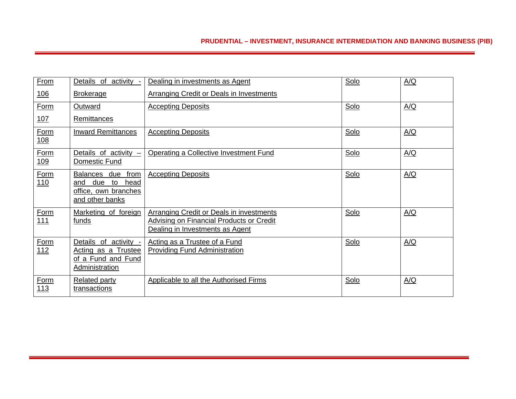| <b>From</b>               | Details of activity -                                                                                 | Dealing in investments as Agent                                                                                                | Solo | A/Q |
|---------------------------|-------------------------------------------------------------------------------------------------------|--------------------------------------------------------------------------------------------------------------------------------|------|-----|
| <u> 106</u>               | <b>Brokerage</b>                                                                                      | Arranging Credit or Deals in Investments                                                                                       |      |     |
| <b>Form</b>               | Outward                                                                                               | <b>Accepting Deposits</b>                                                                                                      | Solo | A/Q |
| <u>107</u>                | <b>Remittances</b>                                                                                    |                                                                                                                                |      |     |
| Form<br>108               | <b>Inward Remittances</b>                                                                             | <b>Accepting Deposits</b>                                                                                                      | Solo | A/Q |
| <b>Form</b><br><u>109</u> | Details of activity -<br>Domestic Fund                                                                | Operating a Collective Investment Fund                                                                                         | Solo | A/Q |
| Form<br>110               | from<br><b>Balances</b><br>due<br>due<br>and<br>to<br>head<br>office, own branches<br>and other banks | <b>Accepting Deposits</b>                                                                                                      | Solo | A/Q |
| Form<br><u>111</u>        | Marketing of foreign<br><u>funds</u>                                                                  | Arranging Credit or Deals in investments<br><b>Advising on Financial Products or Credit</b><br>Dealing in Investments as Agent | Solo | A/Q |
| Form<br>112               | Details of activity -<br>Acting as a Trustee<br>of a Fund and Fund<br>Administration                  | Acting as a Trustee of a Fund<br><b>Providing Fund Administration</b>                                                          | Solo | A/Q |
| <b>Form</b><br>113        | <b>Related party</b><br>transactions                                                                  | Applicable to all the Authorised Firms                                                                                         | Solo | A/Q |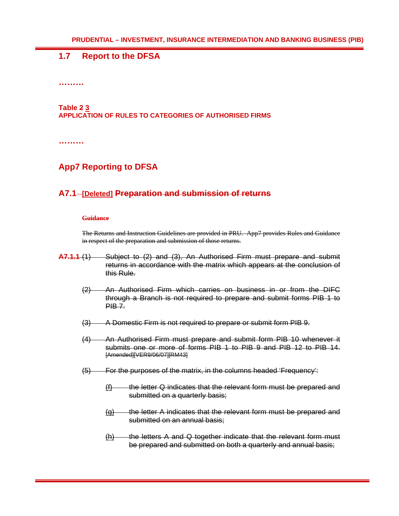## **1.7 Report to the DFSA**

**………** 

## **Table 2 3**

#### **APPLICATION OF RULES TO CATEGORIES OF AUTHORISED FIRMS**

**………** 

## **App7 Reporting to DFSA**

## A7.1-[Deleted] Preparation and submission of returns

#### **Guidance**

The Returns and Instruction Guidelines are provided in PRU. App7 provides Rules and Guidance in respect of the preparation and submission of those returns.

- **A7.1.1** (1) Subject to (2) and (3), An Authorised Firm must prepare and submit returns in accordance with the matrix which appears at the conclusion of this Rule.
	- (2) An Authorised Firm which carries on business in or from the DIFC through a Branch is not required to prepare and submit forms PIB 1 to  $PIBZ$
	- (3) A Domestic Firm is not required to prepare or submit form PIB 9.
	- (4) An Authorised Firm must prepare and submit form PIB 10 whenever it submits one or more of forms PIB 1 to PIB 9 and PIB 12 to PIB 14. [Amended][VER9/06/07][RM43]
	- (5) For the purposes of the matrix, in the columns headed 'Frequency':
		- $(f)$  the letter Q indicates that the relevant form must be prepared and submitted on a quarterly basis;
		- $\overline{q}$  the letter A indicates that the relevant form must be prepared and submitted on an annual basis:
		- $(h)$  the letters A and Q together indicate that the relevant form must be prepared and submitted on both a quarterly and annual basis;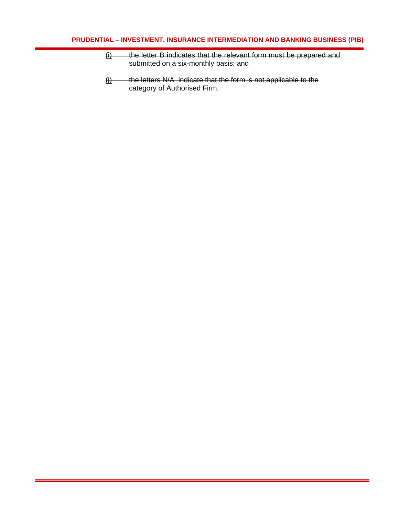- $\underline{ii}$  the letter B indicates that the relevant form must be prepared and submitted on a six-monthly basis; and
- $(i)$  the letters N/A indicate that the form is not applicable to the category of Authorised Firm.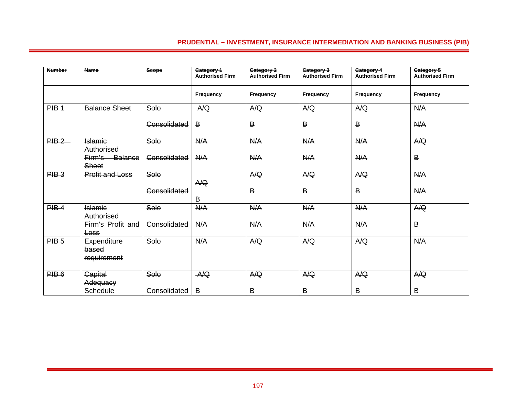| <b>Number</b> | <b>Name</b>                                     | <b>Scope</b> | Category 1<br><b>Authorised Firm</b> | Category 2<br><b>Authorised Firm</b> | Category 3<br><b>Authorised Firm</b> | Category 4<br><b>Authorised Firm</b> | Category 5<br><b>Authorised Firm</b> |
|---------------|-------------------------------------------------|--------------|--------------------------------------|--------------------------------------|--------------------------------------|--------------------------------------|--------------------------------------|
|               |                                                 |              | <b>Frequency</b>                     | <b>Frequency</b>                     | <b>Frequency</b>                     | <b>Frequency</b>                     | <b>Frequency</b>                     |
| $PIB-1$       | <b>Balance Sheet</b>                            | Solo         | A/Q                                  | A/Q                                  | A/Q                                  | A/Q                                  | N/A                                  |
|               |                                                 | Consolidated | B                                    | $\mathsf B$                          | B                                    | B                                    | N/A                                  |
| PIB2          | <b>Islamic</b>                                  | Solo         | N/A                                  | A/A                                  | N/A                                  | N/A                                  | A/Q                                  |
|               | Authorised<br>Balance<br>Firm's<br><b>Sheet</b> | Consolidated | N/A                                  | N/A                                  | N/A                                  | A/A                                  | B                                    |
| $PIB-3$       | <b>Profit and Loss</b>                          | Solo         |                                      | A/Q                                  | A/Q                                  | A/Q                                  | N/A                                  |
|               |                                                 | Consolidated | A/Q<br>В                             | B                                    | B                                    | B                                    | N/A                                  |
| $PIB-4$       | <b>Islamic</b>                                  | Solo         | N/A                                  | N/A                                  | A/A                                  | A/A                                  | A/Q                                  |
|               | Authorised<br>Firm's Profit and<br><b>Loss</b>  | Consolidated | N/A                                  | A/A                                  | N/A                                  | A/A                                  | В                                    |
| $PIB-5$       | Expenditure<br>based<br>requirement             | Solo         | N/A                                  | A/Q                                  | A/Q                                  | A/Q                                  | N/A                                  |
| $PIB-6$       | <b>Capital</b>                                  | Solo         | A/Q                                  | A/Q                                  | A/Q                                  | A/Q                                  | A/Q                                  |
|               | Adequacy<br>Schedule                            | Consolidated | $\overline{B}$                       | B                                    | В                                    | B                                    | B                                    |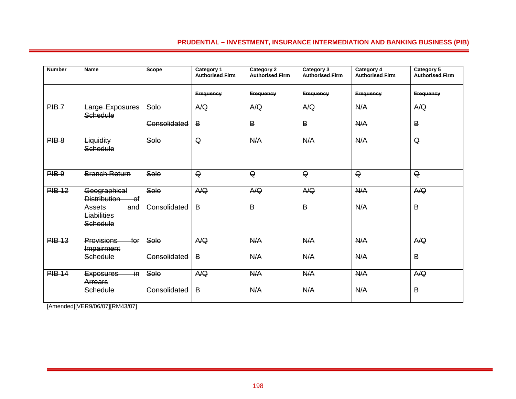| <b>Number</b> | <b>Name</b>                                                 | <b>Scope</b> | Category 1<br>Authorised Firm | Category 2<br><b>Authorised Firm</b> | Category 3<br>Authorised Firm | Category 4<br><b>Authorised Firm</b> | Category 5<br>Authorised Firm |
|---------------|-------------------------------------------------------------|--------------|-------------------------------|--------------------------------------|-------------------------------|--------------------------------------|-------------------------------|
|               |                                                             |              | <b>Frequency</b>              | Frequency                            | Frequency                     | <b>Frequency</b>                     | Frequency                     |
| $PIB-7$       | Large Exposures<br>Schedule                                 | Solo         | A/Q                           | A/Q                                  | A/Q                           | N/A                                  | A/Q                           |
|               |                                                             | Consolidated | $\overline{B}$                | В                                    | В                             | A/A                                  | В                             |
| $PIB-8$       | Liquidity<br>Schedule                                       | Solo         | $\mathsf Q$                   | N/A                                  | N/A                           | A/A                                  | $\mathsf Q$                   |
| PIB.9         | <b>Branch Return</b>                                        | Solo         | $\mathsf Q$                   | $\mathsf Q$                          | $\mathsf Q$                   | $\overline{Q}$                       | $\mathsf Q$                   |
| <b>PIB 12</b> | Geographical<br>Distribution<br>$-$ of                      | Solo         | A/Q                           | A/Q                                  | A/Q                           | A/A                                  | A/Q                           |
|               | <b>Assets</b><br><del>-and</del><br>Liabilities<br>Schedule | Consolidated | B                             | B                                    | B                             | A/A                                  | $\overline{B}$                |
| <b>PIB 13</b> | <b>Provisions</b><br>$f$ or<br>Impairment                   | Solo         | A/Q                           | N/A                                  | N/A                           | A/A                                  | A/Q                           |
|               | Schedule                                                    | Consolidated | $\overline{B}$                | N/A                                  | N/A                           | N/A                                  | $\overline{B}$                |
| <b>PIB 14</b> | $\overline{m}$<br><b>Exposures</b><br>Arrears               | Solo         | A/Q                           | N/A                                  | N/A                           | N/A                                  | A/Q                           |
|               | Schedule                                                    | Consolidated | B                             | N/A                                  | N/A                           | A/A                                  | $\overline{B}$                |

[Amended][VER9/06/07][RM43/07]